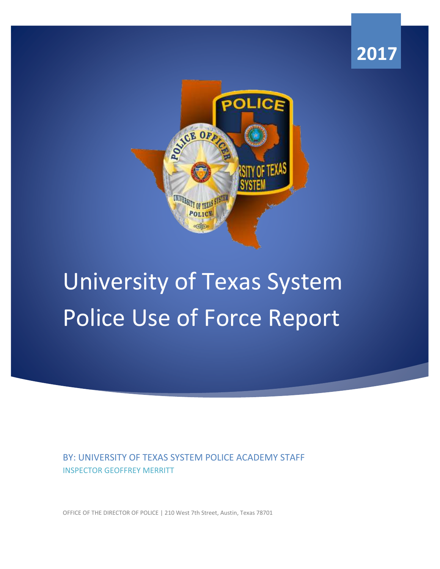



# University of Texas System Police Use of Force Report

BY: UNIVERSITY OF TEXAS SYSTEM POLICE ACADEMY STAFF INSPECTOR GEOFFREY MERRITT

OFFICE OF THE DIRECTOR OF POLICE | 210 West 7th Street, Austin, Texas 78701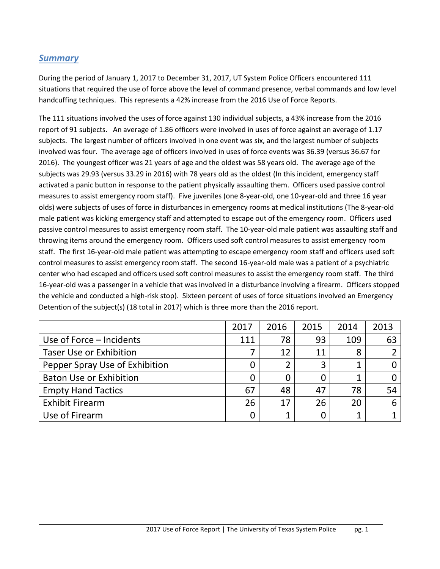#### *Summary*

During the period of January 1, 2017 to December 31, 2017, UT System Police Officers encountered 111 situations that required the use of force above the level of command presence, verbal commands and low level handcuffing techniques. This represents a 42% increase from the 2016 Use of Force Reports.

 report of 91 subjects. An average of 1.86 officers were involved in uses of force against an average of 1.17 subjects. The largest number of officers involved in one event was six, and the largest number of subjects involved was four. The average age of officers involved in uses of force events was 36.39 (versus 36.67 for 2016). The youngest officer was 21 years of age and the oldest was 58 years old. The average age of the activated a panic button in response to the patient physically assaulting them. Officers used passive control measures to assist emergency room staff). Five juveniles (one 8-year-old, one 10-year-old and three 16 year male patient was kicking emergency staff and attempted to escape out of the emergency room. Officers used passive control measures to assist emergency room staff. The 10-year-old male patient was assaulting staff and center who had escaped and officers used soft control measures to assist the emergency room staff. The third The 111 situations involved the uses of force against 130 individual subjects, a 43% increase from the 2016 subjects was 29.93 (versus 33.29 in 2016) with 78 years old as the oldest (In this incident, emergency staff olds) were subjects of uses of force in disturbances in emergency rooms at medical institutions (The 8-year-old throwing items around the emergency room. Officers used soft control measures to assist emergency room staff. The first 16-year-old male patient was attempting to escape emergency room staff and officers used soft control measures to assist emergency room staff. The second 16-year-old male was a patient of a psychiatric 16-year-old was a passenger in a vehicle that was involved in a disturbance involving a firearm. Officers stopped the vehicle and conducted a high-risk stop). Sixteen percent of uses of force situations involved an Emergency Detention of the subject(s) (18 total in 2017) which is three more than the 2016 report.

|                                | 2017 | 2016 | 2015 | 2014 | 2013 |
|--------------------------------|------|------|------|------|------|
| Use of Force – Incidents       | 111  | 78   | 93   | 109  | 63   |
| <b>Taser Use or Exhibition</b> | 7    | 12   | 11   | 8    |      |
| Pepper Spray Use of Exhibition | 0    |      | 3    |      |      |
| <b>Baton Use or Exhibition</b> | 0    |      |      | 1    |      |
| <b>Empty Hand Tactics</b>      | 67   | 48   | 47   | 78   | 54   |
| <b>Exhibit Firearm</b>         | 26   | 17   | 26   | 20   | 6    |
| Use of Firearm                 | 0    |      |      |      |      |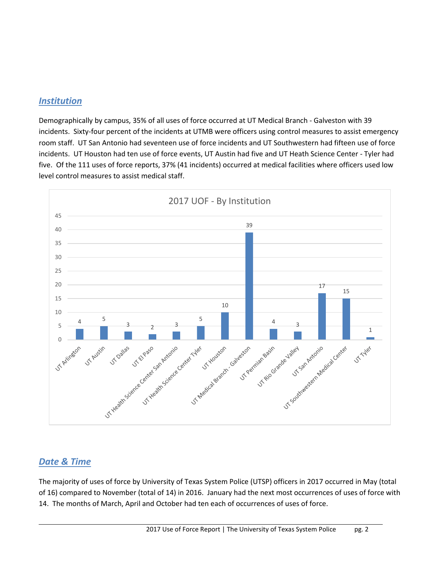#### *Institution*

 room staff. UT San Antonio had seventeen use of force incidents and UT Southwestern had fifteen use of force five. Of the 111 uses of force reports, 37% (41 incidents) occurred at medical facilities where officers used low Demographically by campus, 35% of all uses of force occurred at UT Medical Branch - Galveston with 39 incidents. Sixty-four percent of the incidents at UTMB were officers using control measures to assist emergency incidents. UT Houston had ten use of force events, UT Austin had five and UT Heath Science Center - Tyler had level control measures to assist medical staff.



#### *Date & Time*

The majority of uses of force by University of Texas System Police (UTSP) officers in 2017 occurred in May (total of 16) compared to November (total of 14) in 2016. January had the next most occurrences of uses of force with 14. The months of March, April and October had ten each of occurrences of uses of force.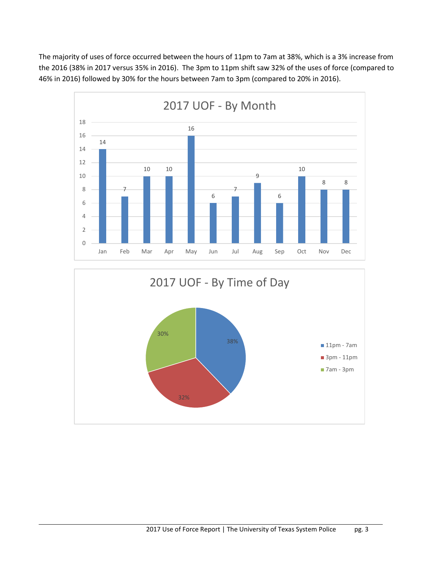the 2016 (38% in 2017 versus 35% in 2016). The 3pm to 11pm shift saw 32% of the uses of force (compared to The majority of uses of force occurred between the hours of 11pm to 7am at 38%, which is a 3% increase from



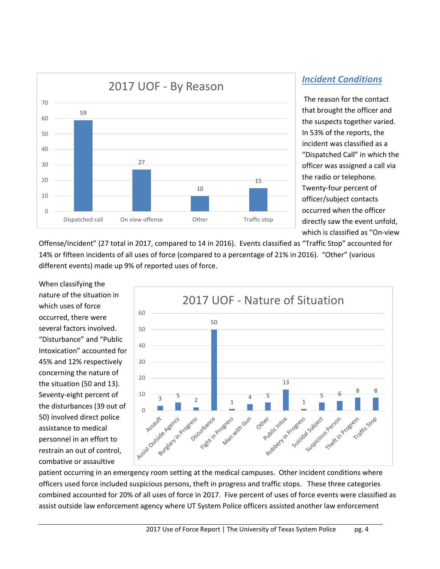

The reason for the contact that brought the officer and the suspects together varied. In 53% of the reports, the incident was classified as a "Dispatched Call" in which the officer was assigned a call via the radio or telephone. Twenty-four percent of officer/subject contacts occurred when the officer directly saw the event unfold, which is classified as "On-view

Offense/Incident" (27 total in 2017, compared to 14 in 2016). Events classified as "Traffic Stop" accounted for 14% or fifteen incidents of all uses of force (compared to a percentage of 21% in 2016). "Other" (various different events) made up 9% of reported uses of force.

 the disturbances (39 out of When classifying the nature of the situation in which uses of force occurred, there were several factors involved. "Disturbance" and "Public Intoxication" accounted for 45% and 12% respectively concerning the nature of the situation (50 and 13). Seventy-eight percent of 50) involved direct police assistance to medical personnel in an effort to restrain an out of control, combative or assaultive



patient occurring in an emergency room setting at the medical campuses. Other incident conditions where officers used force included suspicious persons, theft in progress and traffic stops. These three categories combined accounted for 20% of all uses of force in 2017. Five percent of uses of force events were classified as assist outside law enforcement agency where UT System Police officers assisted another law enforcement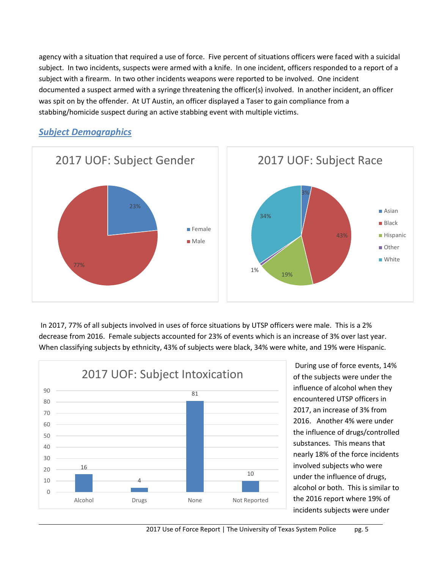agency with a situation that required a use of force. Five percent of situations officers were faced with a suicidal documented a suspect armed with a syringe threatening the officer(s) involved. In another incident, an officer stabbing/homicide suspect during an active stabbing event with multiple victims. subject. In two incidents, suspects were armed with a knife. In one incident, officers responded to a report of a subject with a firearm. In two other incidents weapons were reported to be involved. One incident was spit on by the offender. At UT Austin, an officer displayed a Taser to gain compliance from a



#### *Subject Demographics*

In 2017, 77% of all subjects involved in uses of force situations by UTSP officers were male. This is a 2% decrease from 2016. Female subjects accounted for 23% of events which is an increase of 3% over last year. When classifying subjects by ethnicity, 43% of subjects were black, 34% were white, and 19% were Hispanic.



 2016. Another 4% were under of the subjects were under the influence of alcohol when they encountered UTSP officers in 2017, an increase of 3% from the influence of drugs/controlled substances. This means that nearly 18% of the force incidents involved subjects who were under the influence of drugs, alcohol or both. This is similar to the 2016 report where 19% of incidents subjects were under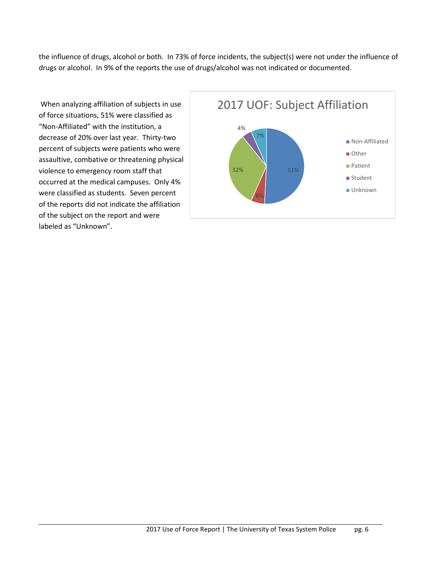drugs or alcohol. In 9% of the reports the use of drugs/alcohol was not indicated or documented. the influence of drugs, alcohol or both. In 73% of force incidents, the subject(s) were not under the influence of

 were classified as students. Seven percent When analyzing affiliation of subjects in use of force situations, 51% were classified as "Non-Affiliated" with the institution, a decrease of 20% over last year. Thirty-two percent of subjects were patients who were assaultive, combative or threatening physical violence to emergency room staff that occurred at the medical campuses. Only 4% of the reports did not indicate the affiliation of the subject on the report and were labeled as "Unknown".

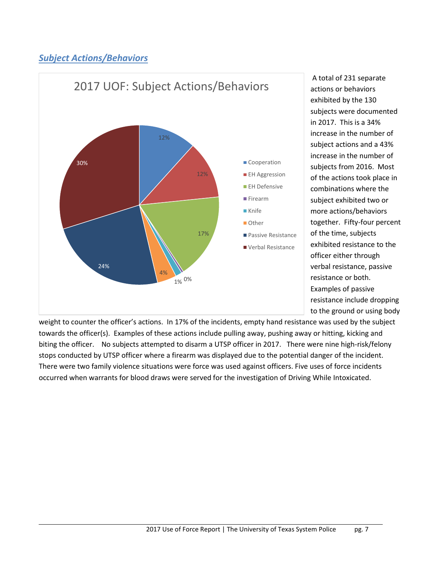# *Subject Actions/Behaviors*



resistance or both. A total of 231 separate actions or behaviors exhibited by the 130 subjects were documented in 2017. This is a 34% increase in the number of subject actions and a 43% increase in the number of subjects from 2016. Most of the actions took place in combinations where the subject exhibited two or more actions/behaviors together. Fifty-four percent of the time, subjects exhibited resistance to the officer either through verbal resistance, passive Examples of passive resistance include dropping to the ground or using body

 towards the officer(s). Examples of these actions include pulling away, pushing away or hitting, kicking and biting the officer. No subjects attempted to disarm a UTSP officer in 2017. There were nine high-risk/felony There were two family violence situations were force was used against officers. Five uses of force incidents occurred when warrants for blood draws were served for the investigation of Driving While Intoxicated. weight to counter the officer's actions. In 17% of the incidents, empty hand resistance was used by the subject stops conducted by UTSP officer where a firearm was displayed due to the potential danger of the incident. occurred when warrants for blood draws were served for the investigation of Driving While Intoxicated.<br>
2017 Use of Force Report | The University of Texas System Police pg. 7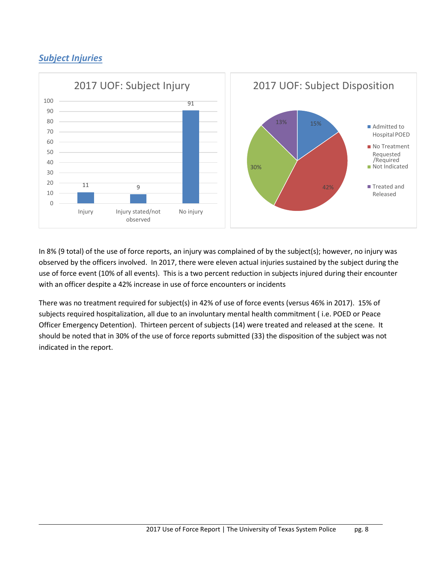# *Subject Injuries*



with an officer despite a 42% increase in use of force encounters or incidents In 8% (9 total) of the use of force reports, an injury was complained of by the subject(s); however, no injury was observed by the officers involved. In 2017, there were eleven actual injuries sustained by the subject during the use of force event (10% of all events). This is a two percent reduction in subjects injured during their encounter

indicated in the report. There was no treatment required for subject(s) in 42% of use of force events (versus 46% in 2017). 15% of subjects required hospitalization, all due to an involuntary mental health commitment ( i.e. POED or Peace Officer Emergency Detention). Thirteen percent of subjects (14) were treated and released at the scene. It should be noted that in 30% of the use of force reports submitted (33) the disposition of the subject was not indicated in the report.<br>
2017 Use of Force Report | The University of Texas System Police pg. 8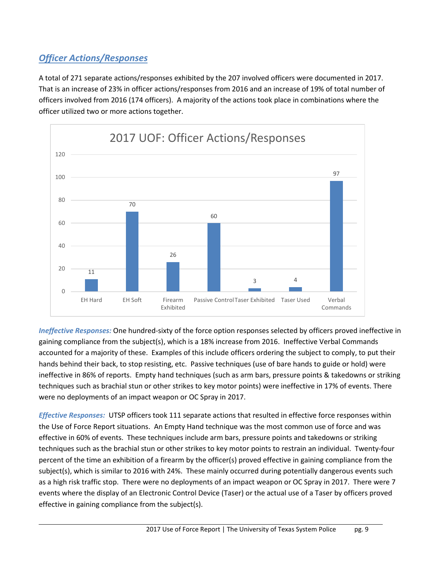# *Officer Actions/Responses*

A total of 271 separate actions/responses exhibited by the 207 involved officers were documented in 2017. officer utilized two or more actions together. That is an increase of 23% in officer actions/responses from 2016 and an increase of 19% of total number of officers involved from 2016 (174 officers). A majority of the actions took place in combinations where the



 hands behind their back, to stop resisting, etc. Passive techniques (use of bare hands to guide or hold) were *Ineffective Responses:* One hundred-sixty of the force option responses selected by officers proved ineffective in gaining compliance from the subject(s), which is a 18% increase from 2016. Ineffective Verbal Commands accounted for a majority of these. Examples of this include officers ordering the subject to comply, to put their ineffective in 86% of reports. Empty hand techniques (such as arm bars, pressure points & takedowns or striking techniques such as brachial stun or other strikes to key motor points) were ineffective in 17% of events. There were no deployments of an impact weapon or OC Spray in 2017.

 *Effective Responses:* UTSP officers took 111 separate actions that resulted in effective force responses within subject(s), which is similar to 2016 with 24%. These mainly occurred during potentially dangerous events such the Use of Force Report situations. An Empty Hand technique was the most common use of force and was effective in 60% of events. These techniques include arm bars, pressure points and takedowns or striking techniques such as the brachial stun or other strikes to key motor points to restrain an individual. Twenty-four percent of the time an exhibition of a firearm by the officer(s) proved effective in gaining compliance from the as a high risk traffic stop. There were no deployments of an impact weapon or OC Spray in 2017. There were 7 events where the display of an Electronic Control Device (Taser) or the actual use of a Taser by officers proved effective in gaining compliance from the subject(s).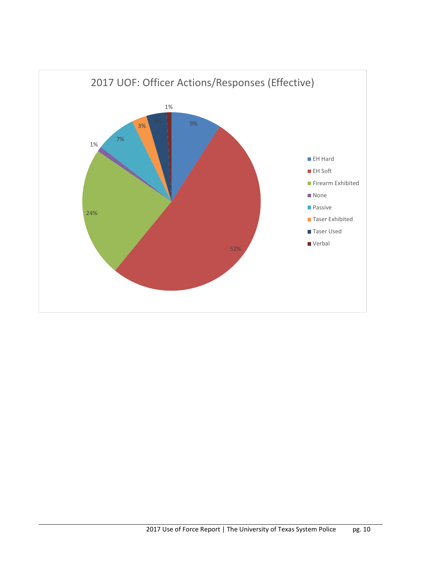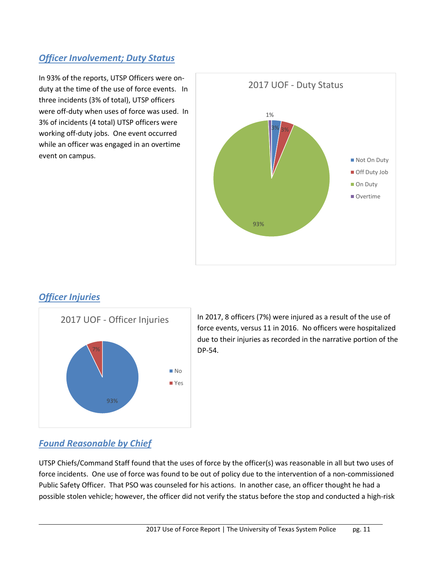# *Officer Involvement; Duty Status*

 duty at the time of the use of force events. In three incidents (3% of total), UTSP officers were off-duty when uses of force was used. In In 93% of the reports, UTSP Officers were on-3% of incidents (4 total) UTSP officers were working off-duty jobs. One event occurred while an officer was engaged in an overtime event on campus.



## *Officer Injuries*



In 2017, 8 officers (7%) were injured as a result of the use of force events, versus 11 in 2016. No officers were hospitalized due to their injuries as recorded in the narrative portion of the DP-54.

## *Found Reasonable by Chief*

 force incidents. One use of force was found to be out of policy due to the intervention of a non-commissioned UTSP Chiefs/Command Staff found that the uses of force by the officer(s) was reasonable in all but two uses of Public Safety Officer. That PSO was counseled for his actions. In another case, an officer thought he had a possible stolen vehicle; however, the officer did not verify the status before the stop and conducted a high-risk